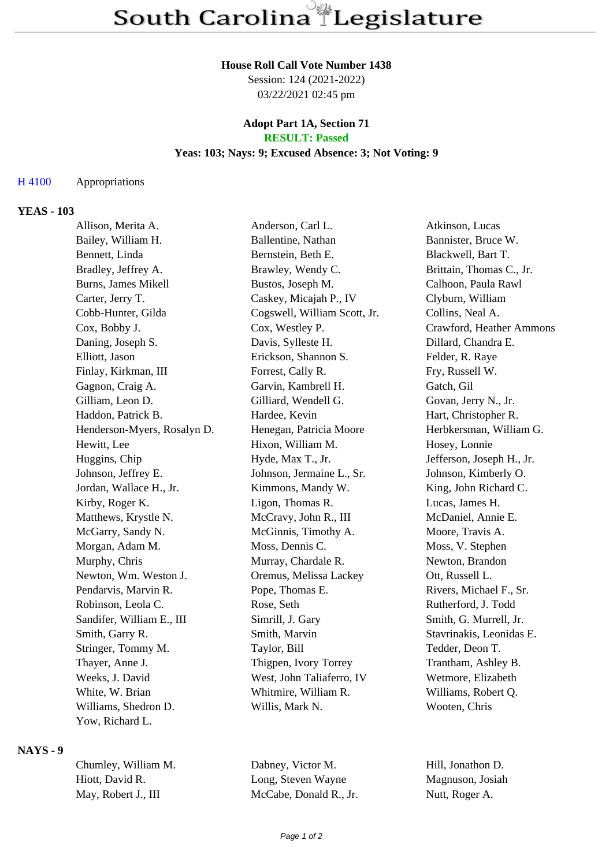# **House Roll Call Vote Number 1438**

Session: 124 (2021-2022) 03/22/2021 02:45 pm

### **Adopt Part 1A, Section 71 RESULT: Passed**

### **Yeas: 103; Nays: 9; Excused Absence: 3; Not Voting: 9**

### H 4100 Appropriations

## **YEAS - 103**

| Allison, Merita A.          | Anderson, Carl L.            | Atkinson, Lucas           |
|-----------------------------|------------------------------|---------------------------|
| Bailey, William H.          | Ballentine, Nathan           | Bannister, Bruce W.       |
| Bennett, Linda              | Bernstein, Beth E.           | Blackwell, Bart T.        |
| Bradley, Jeffrey A.         | Brawley, Wendy C.            | Brittain, Thomas C., Jr.  |
| Burns, James Mikell         | Bustos, Joseph M.            | Calhoon, Paula Rawl       |
| Carter, Jerry T.            | Caskey, Micajah P., IV       | Clyburn, William          |
| Cobb-Hunter, Gilda          | Cogswell, William Scott, Jr. | Collins, Neal A.          |
| Cox, Bobby J.               | Cox, Westley P.              | Crawford, Heather Ammons  |
| Daning, Joseph S.           | Davis, Sylleste H.           | Dillard, Chandra E.       |
| Elliott, Jason              | Erickson, Shannon S.         | Felder, R. Raye           |
| Finlay, Kirkman, III        | Forrest, Cally R.            | Fry, Russell W.           |
| Gagnon, Craig A.            | Garvin, Kambrell H.          | Gatch, Gil                |
| Gilliam, Leon D.            | Gilliard, Wendell G.         | Govan, Jerry N., Jr.      |
| Haddon, Patrick B.          | Hardee, Kevin                | Hart, Christopher R.      |
| Henderson-Myers, Rosalyn D. | Henegan, Patricia Moore      | Herbkersman, William G.   |
| Hewitt, Lee                 | Hixon, William M.            | Hosey, Lonnie             |
| Huggins, Chip               | Hyde, Max T., Jr.            | Jefferson, Joseph H., Jr. |
| Johnson, Jeffrey E.         | Johnson, Jermaine L., Sr.    | Johnson, Kimberly O.      |
| Jordan, Wallace H., Jr.     | Kimmons, Mandy W.            | King, John Richard C.     |
| Kirby, Roger K.             | Ligon, Thomas R.             | Lucas, James H.           |
| Matthews, Krystle N.        | McCravy, John R., III        | McDaniel, Annie E.        |
| McGarry, Sandy N.           | McGinnis, Timothy A.         | Moore, Travis A.          |
| Morgan, Adam M.             | Moss, Dennis C.              | Moss, V. Stephen          |
| Murphy, Chris               | Murray, Chardale R.          | Newton, Brandon           |
| Newton, Wm. Weston J.       | Oremus, Melissa Lackey       | Ott, Russell L.           |
| Pendarvis, Marvin R.        | Pope, Thomas E.              | Rivers, Michael F., Sr.   |
| Robinson, Leola C.          | Rose, Seth                   | Rutherford, J. Todd       |
| Sandifer, William E., III   | Simrill, J. Gary             | Smith, G. Murrell, Jr.    |
| Smith, Garry R.             | Smith, Marvin                | Stavrinakis, Leonidas E.  |
| Stringer, Tommy M.          | Taylor, Bill                 | Tedder, Deon T.           |
| Thayer, Anne J.             | Thigpen, Ivory Torrey        | Trantham, Ashley B.       |
| Weeks, J. David             | West, John Taliaferro, IV    | Wetmore, Elizabeth        |
| White, W. Brian             | Whitmire, William R.         | Williams, Robert Q.       |
| Williams, Shedron D.        | Willis, Mark N.              | Wooten, Chris             |
| Yow, Richard L.             |                              |                           |

#### **NAYS - 9**

Chumley, William M. Dabney, Victor M. Hill, Jonathon D.

Hiott, David R. Cong, Steven Wayne Magnuson, Josiah May, Robert J., III McCabe, Donald R., Jr. Nutt, Roger A.